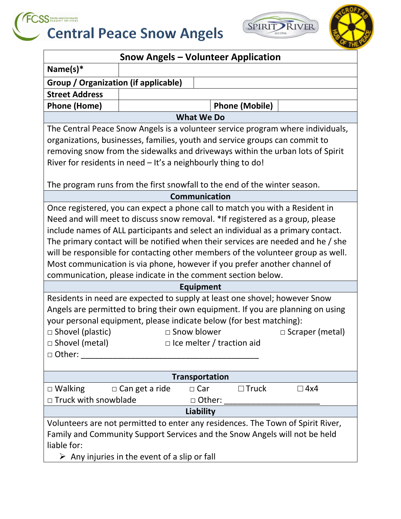





| <b>Snow Angels - Volunteer Application</b>                                       |                                                                   |  |  |  |  |
|----------------------------------------------------------------------------------|-------------------------------------------------------------------|--|--|--|--|
| Name $(s)^*$                                                                     |                                                                   |  |  |  |  |
| <b>Group / Organization (if applicable)</b>                                      |                                                                   |  |  |  |  |
| <b>Street Address</b>                                                            |                                                                   |  |  |  |  |
| <b>Phone (Home)</b>                                                              | <b>Phone (Mobile)</b>                                             |  |  |  |  |
|                                                                                  | <b>What We Do</b>                                                 |  |  |  |  |
| The Central Peace Snow Angels is a volunteer service program where individuals,  |                                                                   |  |  |  |  |
| organizations, businesses, families, youth and service groups can commit to      |                                                                   |  |  |  |  |
| removing snow from the sidewalks and driveways within the urban lots of Spirit   |                                                                   |  |  |  |  |
| River for residents in need - It's a neighbourly thing to do!                    |                                                                   |  |  |  |  |
|                                                                                  |                                                                   |  |  |  |  |
| The program runs from the first snowfall to the end of the winter season.        |                                                                   |  |  |  |  |
| <b>Communication</b>                                                             |                                                                   |  |  |  |  |
| Once registered, you can expect a phone call to match you with a Resident in     |                                                                   |  |  |  |  |
| Need and will meet to discuss snow removal. *If registered as a group, please    |                                                                   |  |  |  |  |
| include names of ALL participants and select an individual as a primary contact. |                                                                   |  |  |  |  |
| The primary contact will be notified when their services are needed and he / she |                                                                   |  |  |  |  |
| will be responsible for contacting other members of the volunteer group as well. |                                                                   |  |  |  |  |
| Most communication is via phone, however if you prefer another channel of        |                                                                   |  |  |  |  |
| communication, please indicate in the comment section below.                     |                                                                   |  |  |  |  |
| <b>Equipment</b>                                                                 |                                                                   |  |  |  |  |
| Residents in need are expected to supply at least one shovel; however Snow       |                                                                   |  |  |  |  |
| Angels are permitted to bring their own equipment. If you are planning on using  |                                                                   |  |  |  |  |
| your personal equipment, please indicate below (for best matching):              |                                                                   |  |  |  |  |
| $\Box$ Shovel (plastic)                                                          | □ Snow blower<br>$\Box$ Scraper (metal)                           |  |  |  |  |
| $\Box$ Shovel (metal)                                                            | $\Box$ Ice melter / traction aid                                  |  |  |  |  |
| $\Box$ Other:                                                                    |                                                                   |  |  |  |  |
|                                                                                  |                                                                   |  |  |  |  |
| <b>Transportation</b>                                                            |                                                                   |  |  |  |  |
| $\Box$ Walking                                                                   | $\Box$ Can get a ride<br>$\Box$ Truck<br>$\Box$ Car<br>$\Box$ 4x4 |  |  |  |  |
| $\Box$ Truck with snowblade                                                      | □ Other:                                                          |  |  |  |  |
| Liability                                                                        |                                                                   |  |  |  |  |
| Volunteers are not permitted to enter any residences. The Town of Spirit River,  |                                                                   |  |  |  |  |
| Family and Community Support Services and the Snow Angels will not be held       |                                                                   |  |  |  |  |
| liable for:                                                                      |                                                                   |  |  |  |  |
| $\triangleright$ Any injuries in the event of a slip or fall                     |                                                                   |  |  |  |  |